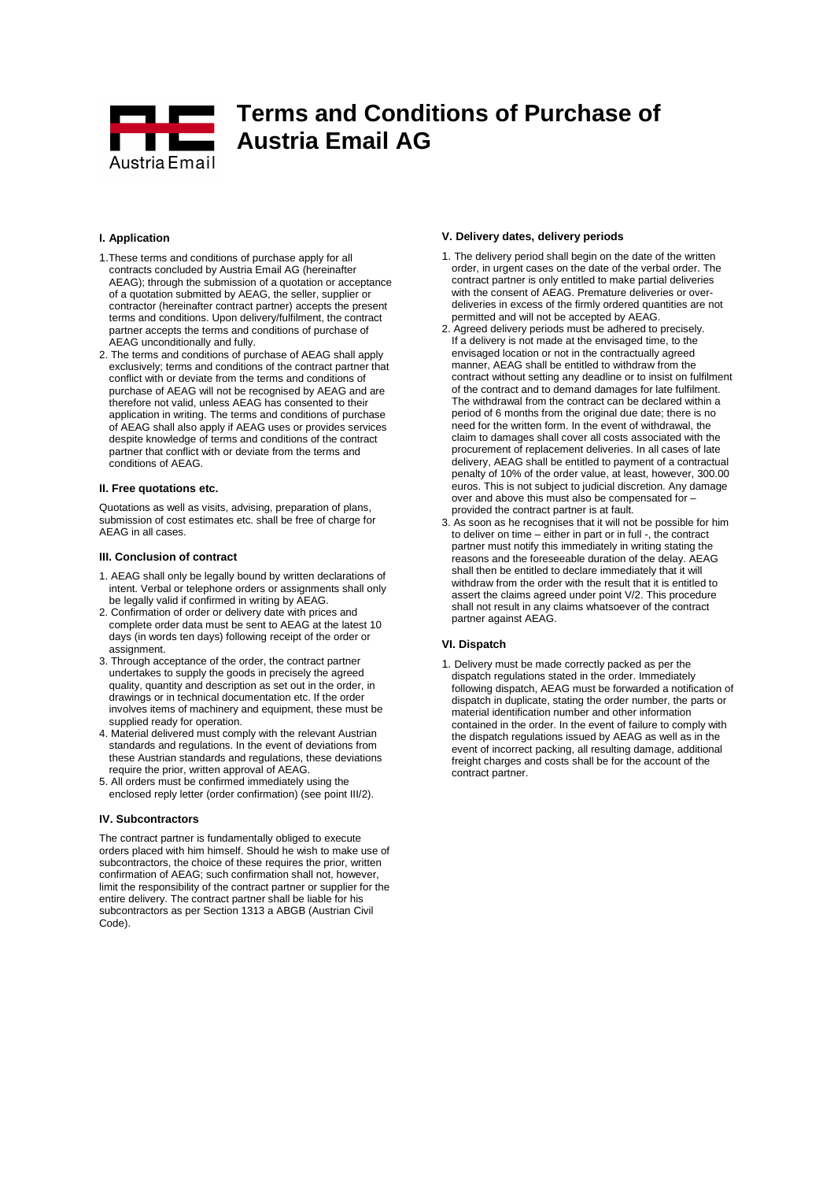

## **I. Application**

- 1.These terms and conditions of purchase apply for all contracts concluded by Austria Email AG (hereinafter AEAG); through the submission of a quotation or acceptance of a quotation submitted by AEAG, the seller, supplier or contractor (hereinafter contract partner) accepts the present terms and conditions. Upon delivery/fulfilment, the contract partner accepts the terms and conditions of purchase of AEAG unconditionally and fully.
- 2. The terms and conditions of purchase of AEAG shall apply exclusively; terms and conditions of the contract partner that conflict with or deviate from the terms and conditions of purchase of AEAG will not be recognised by AEAG and are therefore not valid, unless AEAG has consented to their application in writing. The terms and conditions of purchase of AEAG shall also apply if AEAG uses or provides services despite knowledge of terms and conditions of the contract partner that conflict with or deviate from the terms and conditions of AEAG.

### **II. Free quotations etc.**

Quotations as well as visits, advising, preparation of plans, submission of cost estimates etc. shall be free of charge for AEAG in all cases.

#### **III. Conclusion of contract**

- 1. AEAG shall only be legally bound by written declarations of intent. Verbal or telephone orders or assignments shall only be legally valid if confirmed in writing by AEAG.
- 2. Confirmation of order or delivery date with prices and complete order data must be sent to AEAG at the latest 10 days (in words ten days) following receipt of the order or assignment.
- 3. Through acceptance of the order, the contract partner undertakes to supply the goods in precisely the agreed quality, quantity and description as set out in the order, in drawings or in technical documentation etc. If the order involves items of machinery and equipment, these must be supplied ready for operation.
- 4. Material delivered must comply with the relevant Austrian standards and regulations. In the event of deviations from these Austrian standards and regulations, these deviations require the prior, written approval of AEAG.
- 5. All orders must be confirmed immediately using the enclosed reply letter (order confirmation) (see point III/2).

## **IV. Subcontractors**

The contract partner is fundamentally obliged to execute orders placed with him himself. Should he wish to make use of subcontractors, the choice of these requires the prior, written confirmation of AEAG; such confirmation shall not, however, limit the responsibility of the contract partner or supplier for the entire delivery. The contract partner shall be liable for his subcontractors as per Section 1313 a ABGB (Austrian Civil Code).

# **V. Delivery dates, delivery periods**

- 1. The delivery period shall begin on the date of the written order, in urgent cases on the date of the verbal order. The contract partner is only entitled to make partial deliveries with the consent of AEAG. Premature deliveries or overdeliveries in excess of the firmly ordered quantities are not permitted and will not be accepted by AEAG.
- 2. Agreed delivery periods must be adhered to precisely. If a delivery is not made at the envisaged time, to the envisaged location or not in the contractually agreed manner, AEAG shall be entitled to withdraw from the contract without setting any deadline or to insist on fulfilment of the contract and to demand damages for late fulfilment. The withdrawal from the contract can be declared within a period of 6 months from the original due date; there is no need for the written form. In the event of withdrawal, the claim to damages shall cover all costs associated with the procurement of replacement deliveries. In all cases of late delivery, AEAG shall be entitled to payment of a contractual penalty of 10% of the order value, at least, however, 300.00 euros. This is not subject to judicial discretion. Any damage over and above this must also be compensated for – provided the contract partner is at fault.
- 3. As soon as he recognises that it will not be possible for him to deliver on time – either in part or in full -, the contract partner must notify this immediately in writing stating the reasons and the foreseeable duration of the delay. AEAG shall then be entitled to declare immediately that it will withdraw from the order with the result that it is entitled to assert the claims agreed under point V/2. This procedure shall not result in any claims whatsoever of the contract partner against AEAG.

#### **VI. Dispatch**

1. Delivery must be made correctly packed as per the dispatch regulations stated in the order. Immediately following dispatch, AEAG must be forwarded a notification of dispatch in duplicate, stating the order number, the parts or material identification number and other information contained in the order. In the event of failure to comply with the dispatch regulations issued by AEAG as well as in the event of incorrect packing, all resulting damage, additional freight charges and costs shall be for the account of the contract partner.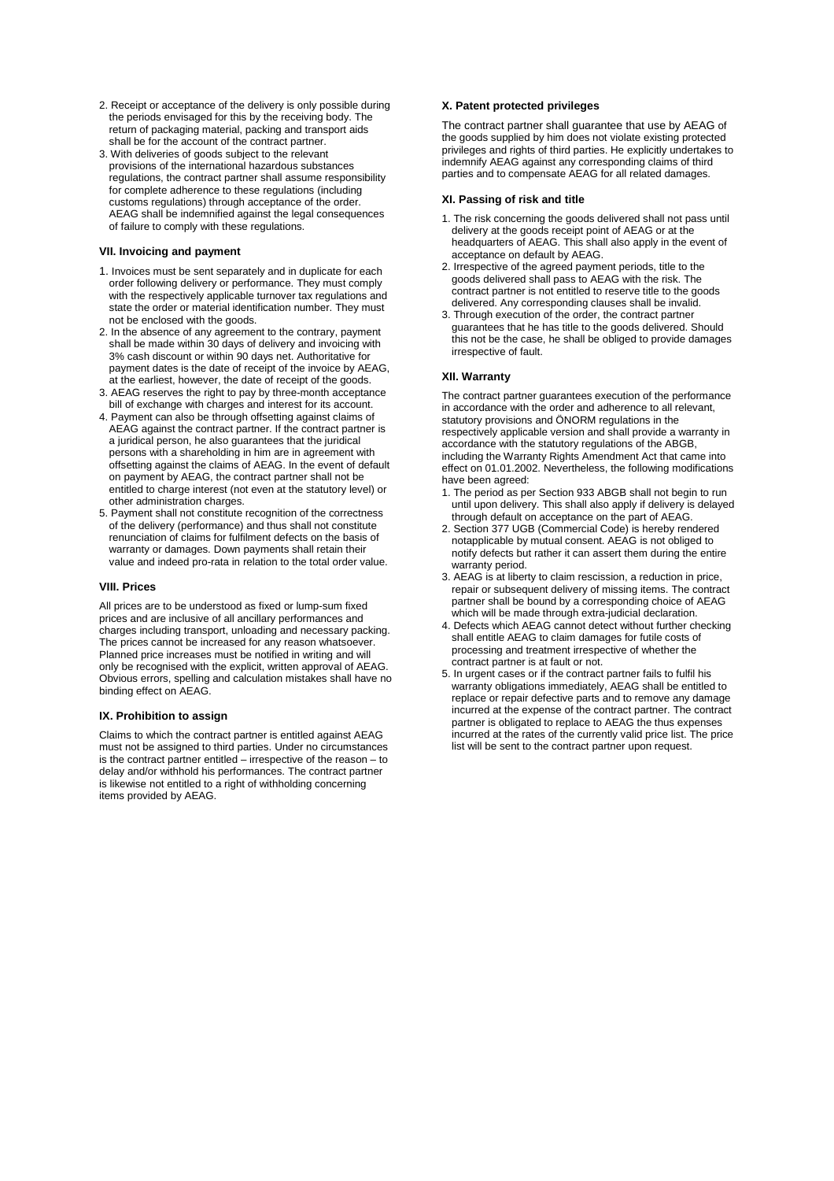- 2. Receipt or acceptance of the delivery is only possible during the periods envisaged for this by the receiving body. The return of packaging material, packing and transport aids shall be for the account of the contract partner.
- 3. With deliveries of goods subject to the relevant provisions of the international hazardous substances regulations, the contract partner shall assume responsibility for complete adherence to these regulations (including customs regulations) through acceptance of the order. AEAG shall be indemnified against the legal consequences of failure to comply with these regulations.

## **VII. Invoicing and payment**

- 1. Invoices must be sent separately and in duplicate for each order following delivery or performance. They must comply with the respectively applicable turnover tax regulations and state the order or material identification number. They must not be enclosed with the goods.
- 2. In the absence of any agreement to the contrary, payment shall be made within 30 days of delivery and invoicing with 3% cash discount or within 90 days net. Authoritative for payment dates is the date of receipt of the invoice by AEAG, at the earliest, however, the date of receipt of the goods.
- 3. AEAG reserves the right to pay by three-month acceptance bill of exchange with charges and interest for its account.
- 4. Payment can also be through offsetting against claims of AEAG against the contract partner. If the contract partner is a juridical person, he also guarantees that the juridical persons with a shareholding in him are in agreement with offsetting against the claims of AEAG. In the event of default on payment by AEAG, the contract partner shall not be entitled to charge interest (not even at the statutory level) or other administration charges.
- 5. Payment shall not constitute recognition of the correctness of the delivery (performance) and thus shall not constitute renunciation of claims for fulfilment defects on the basis of warranty or damages. Down payments shall retain their value and indeed pro-rata in relation to the total order value.

### **VIII. Prices**

All prices are to be understood as fixed or lump-sum fixed prices and are inclusive of all ancillary performances and charges including transport, unloading and necessary packing. The prices cannot be increased for any reason whatsoever. Planned price increases must be notified in writing and will only be recognised with the explicit, written approval of AEAG. Obvious errors, spelling and calculation mistakes shall have no binding effect on AEAG.

### **IX. Prohibition to assign**

Claims to which the contract partner is entitled against AEAG must not be assigned to third parties. Under no circumstances is the contract partner entitled – irrespective of the reason – to delay and/or withhold his performances. The contract partner is likewise not entitled to a right of withholding concerning items provided by AEAG.

## **X. Patent protected privileges**

The contract partner shall guarantee that use by AEAG of the goods supplied by him does not violate existing protected privileges and rights of third parties. He explicitly undertakes to indemnify AEAG against any corresponding claims of third parties and to compensate AEAG for all related damages.

## **XI. Passing of risk and title**

- 1. The risk concerning the goods delivered shall not pass until delivery at the goods receipt point of AEAG or at the headquarters of AEAG. This shall also apply in the event of acceptance on default by AEAG.
- 2. Irrespective of the agreed payment periods, title to the goods delivered shall pass to AEAG with the risk. The contract partner is not entitled to reserve title to the goods delivered. Any corresponding clauses shall be invalid.
- 3. Through execution of the order, the contract partner guarantees that he has title to the goods delivered. Should this not be the case, he shall be obliged to provide damages irrespective of fault.

## **XII. Warranty**

The contract partner guarantees execution of the performance in accordance with the order and adherence to all relevant, statutory provisions and ÖNORM regulations in the respectively applicable version and shall provide a warranty in accordance with the statutory regulations of the ABGB, including the Warranty Rights Amendment Act that came into effect on 01.01.2002. Nevertheless, the following modifications have been agreed:

- 1. The period as per Section 933 ABGB shall not begin to run until upon delivery. This shall also apply if delivery is delayed through default on acceptance on the part of AEAG.
- 2. Section 377 UGB (Commercial Code) is hereby rendered notapplicable by mutual consent. AEAG is not obliged to notify defects but rather it can assert them during the entire warranty period.
- 3. AEAG is at liberty to claim rescission, a reduction in price, repair or subsequent delivery of missing items. The contract partner shall be bound by a corresponding choice of AEAG which will be made through extra-judicial declaration.
- 4. Defects which AEAG cannot detect without further checking shall entitle AEAG to claim damages for futile costs of processing and treatment irrespective of whether the contract partner is at fault or not.
- 5. In urgent cases or if the contract partner fails to fulfil his warranty obligations immediately, AEAG shall be entitled to replace or repair defective parts and to remove any damage incurred at the expense of the contract partner. The contract partner is obligated to replace to AEAG the thus expenses incurred at the rates of the currently valid price list. The price list will be sent to the contract partner upon request.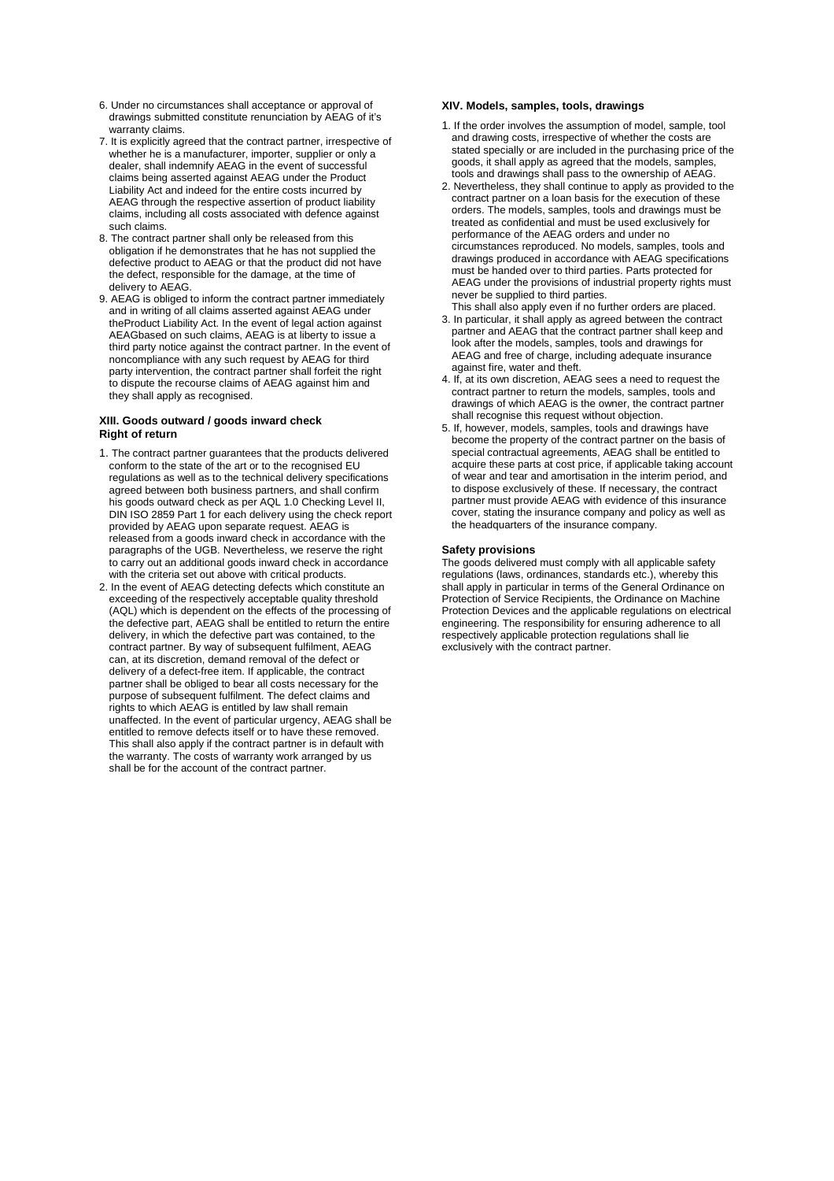- 6. Under no circumstances shall acceptance or approval of drawings submitted constitute renunciation by AEAG of it's warranty claims.
- 7. It is explicitly agreed that the contract partner, irrespective of whether he is a manufacturer, importer, supplier or only a dealer, shall indemnify AEAG in the event of successful claims being asserted against AEAG under the Product Liability Act and indeed for the entire costs incurred by AEAG through the respective assertion of product liability claims, including all costs associated with defence against such claims.
- 8. The contract partner shall only be released from this obligation if he demonstrates that he has not supplied the defective product to AEAG or that the product did not have the defect, responsible for the damage, at the time of delivery to AEAG.
- 9. AEAG is obliged to inform the contract partner immediately and in writing of all claims asserted against AEAG under theProduct Liability Act. In the event of legal action against AEAGbased on such claims, AEAG is at liberty to issue a third party notice against the contract partner. In the event of noncompliance with any such request by AEAG for third party intervention, the contract partner shall forfeit the right to dispute the recourse claims of AEAG against him and they shall apply as recognised.

## **XIII. Goods outward / goods inward check Right of return**

- 1. The contract partner guarantees that the products delivered conform to the state of the art or to the recognised EU regulations as well as to the technical delivery specifications agreed between both business partners, and shall confirm his goods outward check as per AQL 1.0 Checking Level II, DIN ISO 2859 Part 1 for each delivery using the check report provided by AEAG upon separate request. AEAG is released from a goods inward check in accordance with the paragraphs of the UGB. Nevertheless, we reserve the right to carry out an additional goods inward check in accordance with the criteria set out above with critical products
- 2. In the event of AEAG detecting defects which constitute an exceeding of the respectively acceptable quality threshold (AQL) which is dependent on the effects of the processing of the defective part, AEAG shall be entitled to return the entire delivery, in which the defective part was contained, to the contract partner. By way of subsequent fulfilment, AEAG can, at its discretion, demand removal of the defect or delivery of a defect-free item. If applicable, the contract partner shall be obliged to bear all costs necessary for the purpose of subsequent fulfilment. The defect claims and rights to which AEAG is entitled by law shall remain unaffected. In the event of particular urgency, AEAG shall be entitled to remove defects itself or to have these removed. This shall also apply if the contract partner is in default with the warranty. The costs of warranty work arranged by us shall be for the account of the contract partner.

## **XIV. Models, samples, tools, drawings**

- 1. If the order involves the assumption of model, sample, tool and drawing costs, irrespective of whether the costs are stated specially or are included in the purchasing price of the goods, it shall apply as agreed that the models, samples, tools and drawings shall pass to the ownership of AEAG.
- 2. Nevertheless, they shall continue to apply as provided to the contract partner on a loan basis for the execution of these orders. The models, samples, tools and drawings must be treated as confidential and must be used exclusively for performance of the AEAG orders and under no circumstances reproduced. No models, samples, tools and drawings produced in accordance with AEAG specifications must be handed over to third parties. Parts protected for AEAG under the provisions of industrial property rights must never be supplied to third parties.
- This shall also apply even if no further orders are placed. 3. In particular, it shall apply as agreed between the contract partner and AEAG that the contract partner shall keep and look after the models, samples, tools and drawings for AEAG and free of charge, including adequate insurance against fire, water and theft.
- 4. If, at its own discretion, AEAG sees a need to request the contract partner to return the models, samples, tools and drawings of which AEAG is the owner, the contract partner shall recognise this request without objection.
- 5. If, however, models, samples, tools and drawings have become the property of the contract partner on the basis of special contractual agreements, AEAG shall be entitled to acquire these parts at cost price, if applicable taking account of wear and tear and amortisation in the interim period, and to dispose exclusively of these. If necessary, the contract partner must provide AEAG with evidence of this insurance cover, stating the insurance company and policy as well as the headquarters of the insurance company.

## **Safety provisions**

The goods delivered must comply with all applicable safety regulations (laws, ordinances, standards etc.), whereby this shall apply in particular in terms of the General Ordinance on Protection of Service Recipients, the Ordinance on Machine Protection Devices and the applicable regulations on electrical engineering. The responsibility for ensuring adherence to all respectively applicable protection regulations shall lie exclusively with the contract partner.